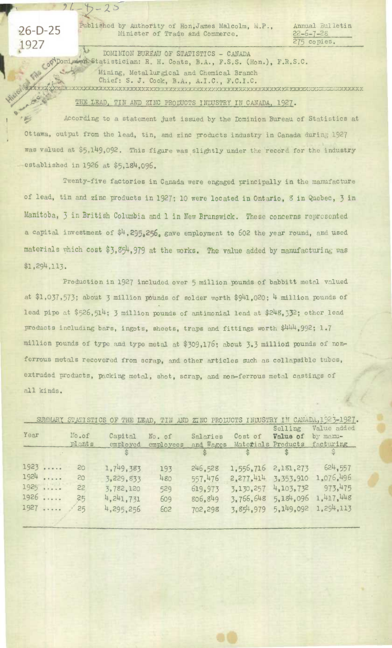1927 *<sup>275</sup>*copies.

 $26 - 5 - 25$ 

Published by Authority of Hon,James Malcolm, M.P., Annual Eulletin Minister of Trade and Commerce. 22-6-7-28 275 copies.

**DOMINION BUREAU OF STATISTICS - CANADA** Statistician: R. H. Coats, B.A., F.S.S. (Hon.), F.R.S.C. Mining, Metallurgical and Chemical Branch Chief: S. J. Cook, B.A., A.I.C., F.C.I.C.

## THE LEAD, TIN AND ZINC PRODUCTS INLUSTRY IN CANADA, 1927.

According to a statement just issued by the Dominion Bureau of Statistics at Ottawa, output from the lead, tin, and zinc products industry in Canada durin, 1927 was valued at \$5,149,092. This figure was slightly under the record for the industry established *in 1926 at \$5,18<sup>4</sup> ,096.* 

Twenty-five factories in Canada were engaged principally in the mamfacture of lead, tin and zinc products in 1927; 10 were *located in Ontario, 8 in* Quobec, 3 *in*  Manitoba, 3 in British Columbia and 1 in New Brunswick. These concerns represented a capital investment of  $$4$ , 295.256. gave employment to 602 the year round, and used materials which cost \$3,854,979 at the works. The value added by manufacturing was \$1 *,29)4,113.* 

Production in *1927* included over 5 million pounds of babbitt metal valued at *\$1,037,573;* about 3 million pounds of solder worth *\$9141,020* ; 14 million pounds of lead pipe at *\$526,5])4; 3* million pounds of antimonial lend at *\$2148,532;* other lead products including bars, ingots, sheets, traps and fittings worth *\$444,992; 1.7*  million pounds of type and type metal at \$309,176; about 3.3 million pounds of nonferrous metals recovered from scrap, and other articles such as collapsible tubes, extruded products, packing metal, shot, scrap, and non-ferrous metal castings of all kinds.

|        |        |             |           |              |                     |           | SUMMARY STATISTICS OF THE LEAD, TIN AND ZINC PRODUCTS INDUSTRY IN CANADA, 1923-1927. |
|--------|--------|-------------|-----------|--------------|---------------------|-----------|--------------------------------------------------------------------------------------|
|        |        |             |           |              |                     | Selling   | Value added                                                                          |
| Year   | No.of  | Capital     | No. of    | Salaries     | Cost of             | Value of  | by mamu-                                                                             |
|        | plants | employed    | employees | and Wages    | Materials Products  |           | facturing                                                                            |
|        |        |             |           | $\mathbb{S}$ | $\mathbb{S}^-$      |           |                                                                                      |
| 1923   | 20     | 1,749,383   | 193       | 246.528      | 1,556,716 2,181,273 |           | 624,557                                                                              |
| $1924$ | 20     | 3,229,833   | 480       | 557.476      | 2.277.414           | 3,353,910 | 1,076,496                                                                            |
| 1925   | 22     | 3,782,120   | 529       | 619,973      | 3,130,257           | 4,103,732 | 973,475                                                                              |
| 1926   | 25     | 4, 241, 731 | 609       | 806.849      | 3,766,648           | 5,184,096 | 1.417.448                                                                            |
| 1927   | 25     | 4,295,256   | 602       | 702,298      | 3.854.979           | 5.149.092 | 1.294,113                                                                            |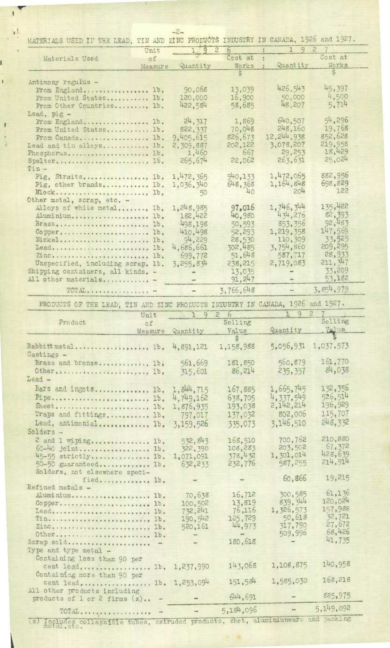| MATERIALS USED IN THE LEAD, TIN AND                                            |                      | ZINC PRODUCTS INDUSTRY IN CANADA, 1926 and 1927. |                          |                      |
|--------------------------------------------------------------------------------|----------------------|--------------------------------------------------|--------------------------|----------------------|
| Unit                                                                           | 192                  | 6                                                | 19                       | $\mathcal{Z}$        |
| of<br>Materials Used                                                           |                      | Cost at                                          |                          | Cost at              |
| Measure                                                                        | Quantity             | Works                                            | Quantity                 | Works                |
| Antimony regulus -                                                             |                      |                                                  |                          |                      |
| From England 1b.                                                               | 90,068               | 13,039                                           | 426,543                  | 45,397               |
| From United States 1b.                                                         | 120,000              | 16,900                                           | 50,000                   | 4,500                |
| From Other Countries 1b.                                                       | 422,584              | 58,685                                           | 48,207                   | 5.714                |
| Lead, pig -                                                                    |                      |                                                  |                          |                      |
| From England 1b.                                                               | 24, 317              | 1,869                                            | 640,507                  | 54,296               |
| From United States1b.                                                          | 822, 337             | 70,048                                           | 248,160                  | 19,768               |
| From Canada 1b.                                                                | 9,405,615            | 826,673                                          | 12, 244, 938             | 852,628<br>219,958   |
| Lead and tin alloys 1b.                                                        | 2,309,887<br>1,460   | 202,122<br>667                                   | 3,078,207<br>29,253      | 18,429               |
| Phosphorus 1b.<br>Spelter 1b.                                                  | 265, 674             | 22,062                                           | 263,631                  | 25,024               |
| $T$ in $-$                                                                     |                      |                                                  |                          |                      |
| Pig, Straits lb.                                                               | 1,472,365            | 940, 133                                         | 1,472,065                | 882,956              |
| Pig, other brands lb.                                                          | 1,036,340            | 648,368                                          | 1,164,848                | 698,829              |
|                                                                                | 50                   | 40                                               | $-204$                   | 122                  |
| Other metal, scrap, etc. -                                                     |                      |                                                  |                          |                      |
| Alloys of white metal lb.                                                      | 1,248,985            | 97.016<br>40,980                                 | 1,746,344<br>434,276     | 135,422<br>82,393    |
| AluminiumD.                                                                    | 182,422<br>498,198   |                                                  | 853, 356                 | 92,483               |
| Brass,  1b.<br>Copper 1b.                                                      | 410.498              | 50,593<br>52,293                                 | 1,219,358                | 147.569              |
| Nickel lb.                                                                     | 94,229               | 28,530                                           | 110,309                  | 33,525               |
| Lead 1b.                                                                       | 4,686,661            | 302,485                                          | 3,754,860                | 209, 295             |
| Zinc 1b.                                                                       | 699,772              | 51,648                                           | 587,717                  | 28,933               |
| Unspecified, including scrap. 1b.                                              | 3, 255, 834          | 238,215                                          | 2,719,083                | 211, 347             |
| Shipping containers, all kinds. -                                              |                      | 13,035                                           | sun.                     | 33,209               |
| All other materials                                                            |                      | 91, 247                                          |                          | 53.182               |
| TOTAL                                                                          | $\frac{1}{2}$        | 3,766,648                                        | $\overline{\phantom{a}}$ | 3,854,979            |
| PRODUCTS OF THE LEAD, TIN AND ZINC PRODUCTS INDUSTRY IN CANADA, 1926 and 1927. |                      |                                                  |                          |                      |
| Unit                                                                           | 19                   | $\overline{2}$<br>$\overline{6}$                 | 9                        | $\overline{c}$       |
| Product<br>of                                                                  |                      | Selling                                          |                          | Selling              |
| Measure                                                                        | Quantity             | Value                                            | Quantity                 | Value                |
| Babbitt metal 1b.                                                              | 4,891,121            | $\hat{S}$<br>1,158,988                           | 5,056,931                | 1,037,573            |
| Castings -                                                                     |                      |                                                  |                          |                      |
| Brass and bronze 1b.                                                           | 561,669              | 181,850                                          | 560,879                  | 161,770              |
| Other 1b.                                                                      | 315,601              | 86,214                                           | 235, 357                 | 84,038               |
| $\texttt{lead}$ -                                                              |                      |                                                  |                          |                      |
| Bars and ingots Ib.                                                            | 1,844,715            |                                                  |                          |                      |
|                                                                                |                      |                                                  |                          |                      |
|                                                                                |                      | 167,885                                          | 1,665,745                | 132,356<br>526,514   |
| Pipe 1b,                                                                       | 4,749,162            | 638.705                                          | 4, 337, 549<br>2.142,214 | 196,929              |
|                                                                                | 1,876,935<br>797,017 | 193,038<br>137,032                               | 802,006                  | 115,707              |
| Traps and fittings lb.                                                         |                      |                                                  | 3,146,510                | 248,332              |
| Lead, antimonial lb.<br>Solders -                                              | 3,159,526            | 335,073                                          |                          |                      |
|                                                                                | 532,843              | 168,510                                          | 700,762                  | 210,880              |
| 2 and 1 wiping 1b.<br>60-40 joint 1b.                                          | 322, 390             | 108,283                                          | 203,502                  | 67,372               |
| 45-55 strictly lb.                                                             | 1,071,091            | 378,432                                          | 1,301,014                | 428,639              |
| 50-50 guaranteed Ib.                                                           | 632,233              | 232,776                                          | 587,255                  | 214.914              |
| Solders, not elsewhere speci-                                                  |                      |                                                  |                          |                      |
| fied Ib.                                                                       |                      |                                                  | 60,866                   | 19,215               |
| Refined metals -<br><b>Les and State</b>                                       |                      | 16,712                                           | 300,585                  | 61,136               |
| Aluminium 1b.                                                                  | 70,638<br>100,502    | 13,819                                           | 839, 344                 | 120,024              |
| Copper 1b.<br>Lead 1b.                                                         | 732, 241             | 76,116                                           | 1,326,573                | 157,988              |
| Tin 10.                                                                        | 190, 542             | 125,729                                          | 50,618                   | 32,721               |
| ZincD.                                                                         | 520,161              | 44,973                                           | 317,790                  | 27,672               |
| Other 1b.                                                                      |                      | $\frac{1}{2}$                                    | 509,996                  | 68,426               |
| Scrap sold -                                                                   |                      | 180,618                                          |                          | 41,735               |
| Type and type metal -                                                          |                      |                                                  |                          |                      |
| Containing less than 90 per                                                    |                      | 143,068                                          | 1,108,875                | 140,958              |
| cent lead Ib.                                                                  | 1,237,990            |                                                  |                          |                      |
| Containing more than 90 per<br>cent lead,  1b.                                 | 1,253,094            | 151,584                                          | 1,585,030                | 168,218              |
| All other products including                                                   |                      |                                                  |                          |                      |
| products of $1$ or $2$ firms $(x)$<br>$\rightarrow$                            |                      | 644,691<br>5,184,096                             |                          | 885,975<br>5,149,092 |

 $\sqrt{2}$ 

 $\mathbf{v}^{\mathrm{f}}$ 

**i** 

í

 $\mathfrak{t}$ 

 $\begin{array}{c} \color{red} \textbf{\textit{I}} \end{array}$ 

(x) Includes collapsible tubes, extruded products, shet, aluminiunware and packing